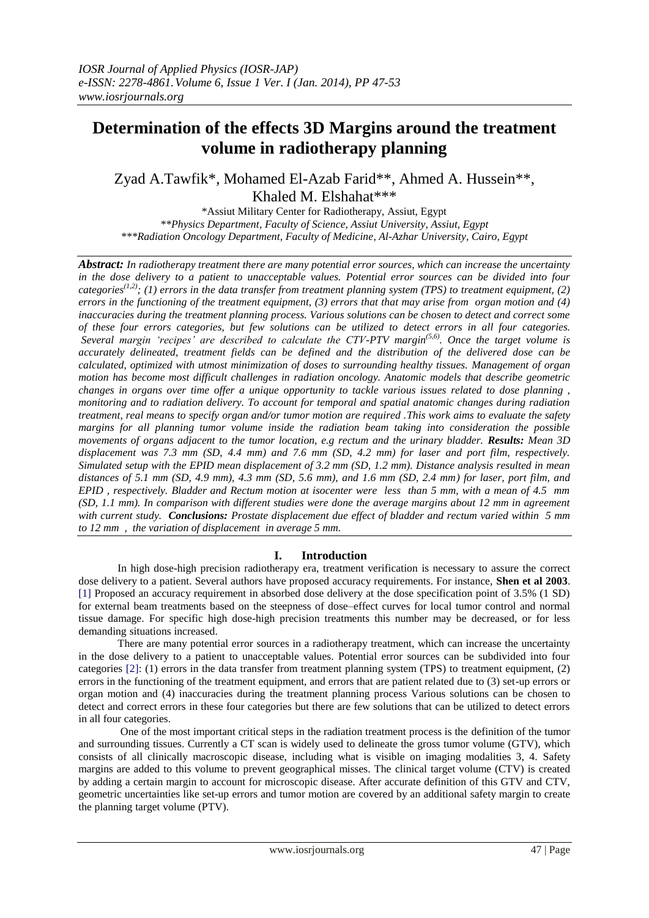# **Determination of the effects 3D Margins around the treatment volume in radiotherapy planning**

Zyad A.Tawfik\*, Mohamed El-Azab Farid\*\*, Ahmed A. Hussein\*\*, Khaled M. Elshahat\*\*\*

\*Assiut Military Center for Radiotherapy, Assiut, Egypt *\*\*Physics Department, Faculty of Science, Assiut University, Assiut, Egypt \*\*\*Radiation Oncology Department, Faculty of Medicine, Al-Azhar University, Cairo, Egypt*

*Abstract: In radiotherapy treatment there are many potential error sources, which can increase the uncertainty in the dose delivery to a patient to unacceptable values. Potential error sources can be divided into four categories(1,2); (1) errors in the data transfer from treatment planning system (TPS) to treatment equipment, (2) errors in the functioning of the treatment equipment, (3) errors that that may arise from organ motion and (4) inaccuracies during the treatment planning process. Various solutions can be chosen to detect and correct some of these four errors categories, but few solutions can be utilized to detect errors in all four categories. Several margin 'recipes' are described to calculate the CTV-PTV margin(5,6). Once the target volume is accurately delineated, treatment fields can be defined and the distribution of the delivered dose can be calculated, optimized with utmost minimization of doses to surrounding healthy tissues. Management of organ motion has become most difficult challenges in radiation oncology. Anatomic models that describe geometric changes in organs over time offer a unique opportunity to tackle various issues related to dose planning , monitoring and to radiation delivery. To account for temporal and spatial anatomic changes during radiation treatment, real means to specify organ and/or tumor motion are required .This work aims to evaluate the safety margins for all planning tumor volume inside the radiation beam taking into consideration the possible movements of organs adjacent to the tumor location, e.g rectum and the urinary bladder. Results: Mean 3D displacement was 7.3 mm (SD, 4.4 mm) and 7.6 mm (SD, 4.2 mm) for laser and port film, respectively. Simulated setup with the EPID mean displacement of 3.2 mm (SD, 1.2 mm). Distance analysis resulted in mean distances of 5.1 mm (SD, 4.9 mm), 4.3 mm (SD, 5.6 mm), and 1.6 mm (SD, 2.4 mm) for laser, port film, and EPID , respectively. Bladder and Rectum motion at isocenter were less than 5 mm, with a mean of 4.5 mm (SD, 1.1 mm). In comparison with different studies were done the average margins about 12 mm in agreement with current study. Conclusions: Prostate displacement due effect of bladder and rectum varied within 5 mm to 12 mm , the variation of displacement in average 5 mm.*

### **I. Introduction**

In high dose-high precision radiotherapy era, treatment verification is necessary to assure the correct dose delivery to a patient. Several authors have proposed accuracy requirements. For instance, **Shen et al 2003**. [1] Proposed an accuracy requirement in absorbed dose delivery at the dose specification point of 3.5% (1 SD) for external beam treatments based on the steepness of dose–effect curves for local tumor control and normal tissue damage. For specific high dose-high precision treatments this number may be decreased, or for less demanding situations increased.

There are many potential error sources in a radiotherapy treatment, which can increase the uncertainty in the dose delivery to a patient to unacceptable values. Potential error sources can be subdivided into four categories [2]: (1) errors in the data transfer from treatment planning system (TPS) to treatment equipment, (2) errors in the functioning of the treatment equipment, and errors that are patient related due to (3) set-up errors or organ motion and (4) inaccuracies during the treatment planning process Various solutions can be chosen to detect and correct errors in these four categories but there are few solutions that can be utilized to detect errors in all four categories.

One of the most important critical steps in the radiation treatment process is the definition of the tumor and surrounding tissues. Currently a CT scan is widely used to delineate the gross tumor volume (GTV), which consists of all clinically macroscopic disease, including what is visible on imaging modalities 3, 4. Safety margins are added to this volume to prevent geographical misses. The clinical target volume (CTV) is created by adding a certain margin to account for microscopic disease. After accurate definition of this GTV and CTV, geometric uncertainties like set-up errors and tumor motion are covered by an additional safety margin to create the planning target volume (PTV).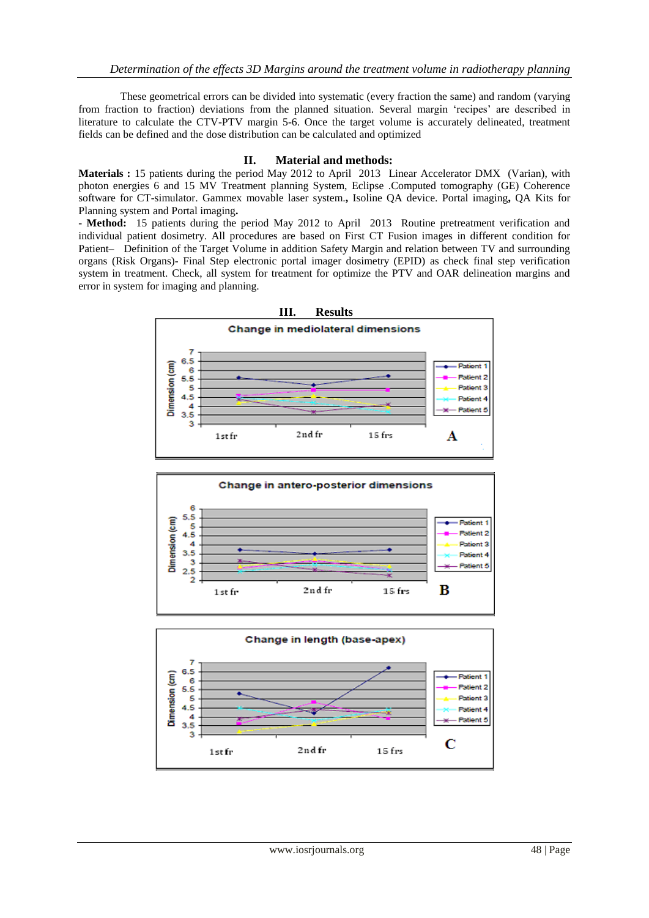These geometrical errors can be divided into systematic (every fraction the same) and random (varying from fraction to fraction) deviations from the planned situation. Several margin 'recipes' are described in literature to calculate the CTV-PTV margin 5-6. Once the target volume is accurately delineated, treatment fields can be defined and the dose distribution can be calculated and optimized

### **II. Material and methods:**

**Materials :** 15 patients during the period May 2012 to April 2013 Linear Accelerator DMX (Varian), with photon energies 6 and 15 MV Treatment planning System, Eclipse .Computed tomography (GE) Coherence software for CT-simulator. Gammex movable laser system.**,** Isoline QA device. Portal imaging**,** QA Kits for Planning system and Portal imaging**.**

- **Method:** 15 patients during the period May 2012 to April 2013 Routine pretreatment verification and individual patient dosimetry. All procedures are based on First CT Fusion images in different condition for Patient– Definition of the Target Volume in addition Safety Margin and relation between TV and surrounding organs (Risk Organs)- Final Step electronic portal imager dosimetry (EPID) as check final step verification system in treatment. Check, all system for treatment for optimize the PTV and OAR delineation margins and error in system for imaging and planning.





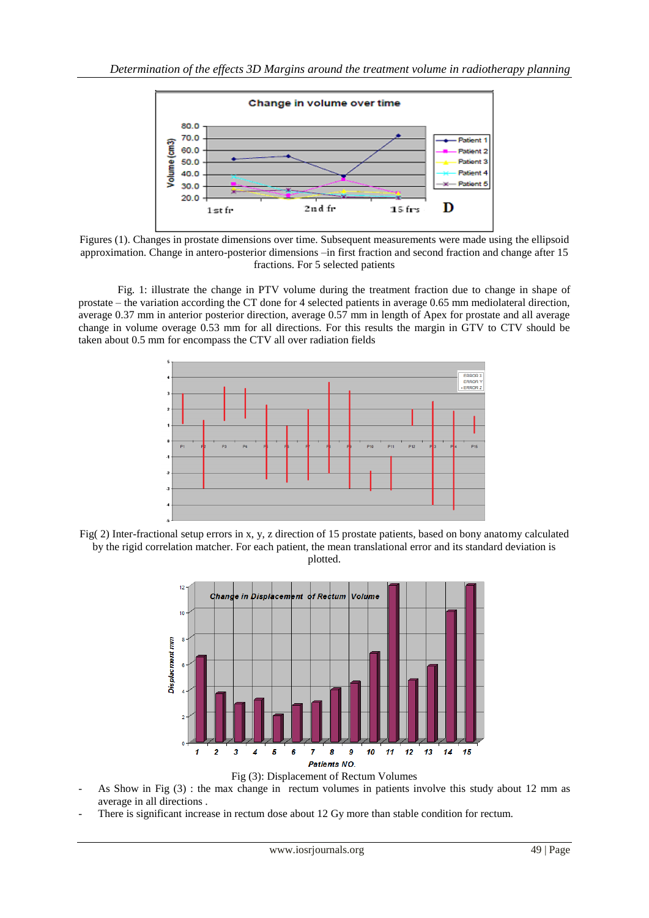

Figures (1). Changes in prostate dimensions over time. Subsequent measurements were made using the ellipsoid approximation. Change in antero-posterior dimensions –in first fraction and second fraction and change after 15 fractions. For 5 selected patients

Fig. 1: illustrate the change in PTV volume during the treatment fraction due to change in shape of prostate – the variation according the CT done for 4 selected patients in average 0.65 mm mediolateral direction, average 0.37 mm in anterior posterior direction, average 0.57 mm in length of Apex for prostate and all average change in volume overage 0.53 mm for all directions. For this results the margin in GTV to CTV should be taken about 0.5 mm for encompass the CTV all over radiation fields



Fig( 2) Inter-fractional setup errors in x, y, z direction of 15 prostate patients, based on bony anatomy calculated by the rigid correlation matcher. For each patient, the mean translational error and its standard deviation is plotted.



Fig (3): Displacement of Rectum Volumes

- As Show in Fig (3) : the max change in rectum volumes in patients involve this study about 12 mm as average in all directions .
- There is significant increase in rectum dose about 12 Gy more than stable condition for rectum.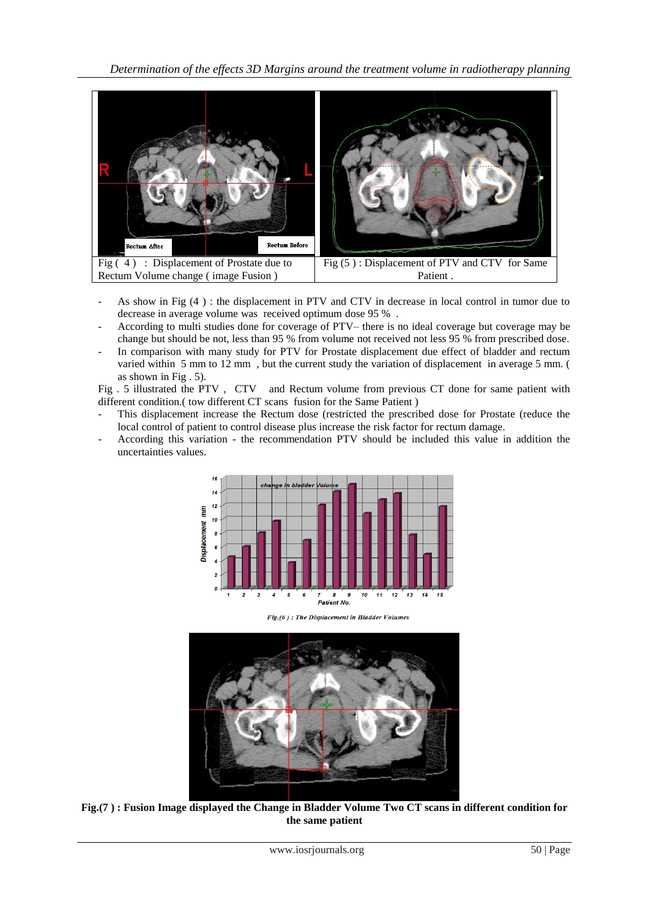*Determination of the effects 3D Margins around the treatment volume in radiotherapy planning* 



- As show in Fig (4 ) : the displacement in PTV and CTV in decrease in local control in tumor due to decrease in average volume was received optimum dose 95 % .
- According to multi studies done for coverage of PTV– there is no ideal coverage but coverage may be change but should be not, less than 95 % from volume not received not less 95 % from prescribed dose.
- In comparison with many study for PTV for Prostate displacement due effect of bladder and rectum varied within 5 mm to 12 mm , but the current study the variation of displacement in average 5 mm. ( as shown in Fig . 5).

Fig . 5 illustrated the PTV , CTV and Rectum volume from previous CT done for same patient with different condition.( tow different CT scans fusion for the Same Patient )

- This displacement increase the Rectum dose (restricted the prescribed dose for Prostate (reduce the local control of patient to control disease plus increase the risk factor for rectum damage.
- According this variation the recommendation PTV should be included this value in addition the uncertainties values.



Fig.(6): The Displacement in Bladder Volumes



**Fig.(7 ) : Fusion Image displayed the Change in Bladder Volume Two CT scans in different condition for the same patient**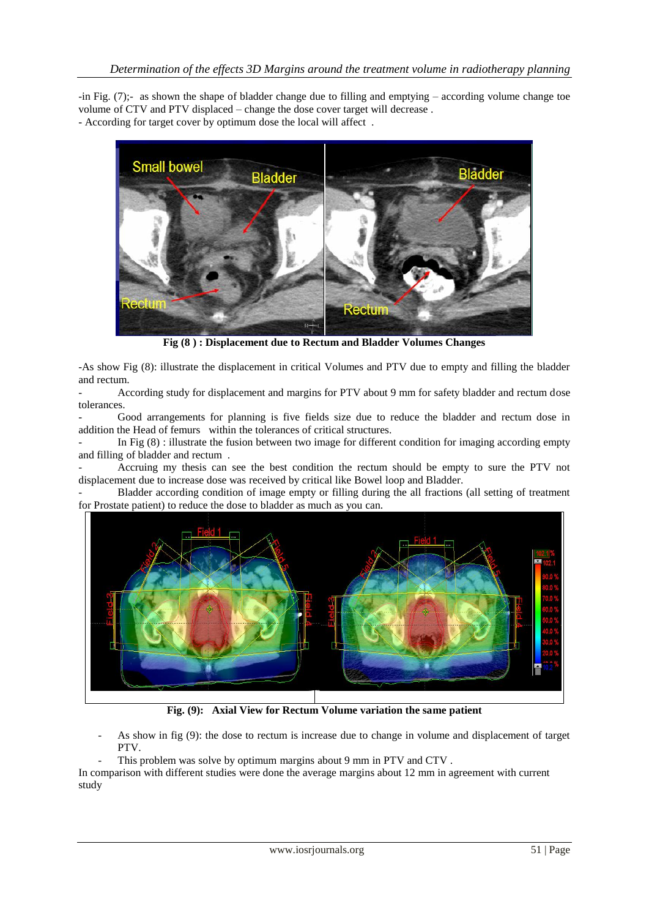-in Fig. (7);- as shown the shape of bladder change due to filling and emptying – according volume change toe volume of CTV and PTV displaced – change the dose cover target will decrease . - According for target cover by optimum dose the local will affect .



**Fig (8 ) : Displacement due to Rectum and Bladder Volumes Changes**

-As show Fig (8): illustrate the displacement in critical Volumes and PTV due to empty and filling the bladder and rectum.

- According study for displacement and margins for PTV about 9 mm for safety bladder and rectum dose tolerances.

- Good arrangements for planning is five fields size due to reduce the bladder and rectum dose in addition the Head of femurs within the tolerances of critical structures.

In Fig (8) : illustrate the fusion between two image for different condition for imaging according empty and filling of bladder and rectum .

- Accruing my thesis can see the best condition the rectum should be empty to sure the PTV not displacement due to increase dose was received by critical like Bowel loop and Bladder.

- Bladder according condition of image empty or filling during the all fractions (all setting of treatment for Prostate patient) to reduce the dose to bladder as much as you can.



**Fig. (9): Axial View for Rectum Volume variation the same patient** 

- As show in fig (9): the dose to rectum is increase due to change in volume and displacement of target PTV.
	- This problem was solve by optimum margins about 9 mm in PTV and CTV.

In comparison with different studies were done the average margins about 12 mm in agreement with current study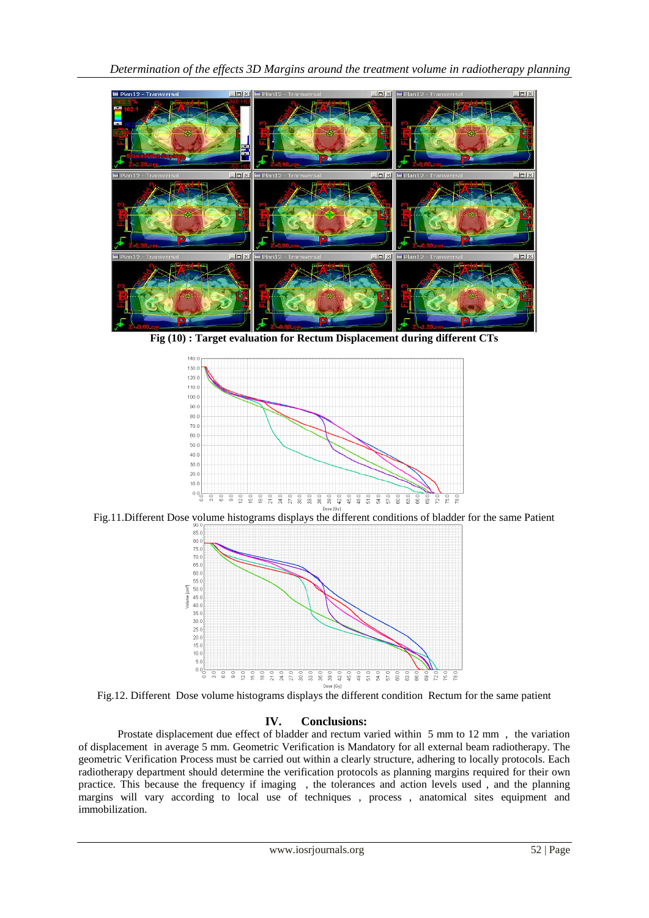

**Fig (10) : Target evaluation for Rectum Displacement during different CTs** 



Fig.11.Different Dose volume histograms displays the different conditions of bladder for the same Patient



Fig.12. Different Dose volume histograms displays the different condition Rectum for the same patient

## **IV. Conclusions:**

Prostate displacement due effect of bladder and rectum varied within 5 mm to 12 mm , the variation of displacement in average 5 mm. Geometric Verification is Mandatory for all external beam radiotherapy. The geometric Verification Process must be carried out within a clearly structure, adhering to locally protocols. Each radiotherapy department should determine the verification protocols as planning margins required for their own practice. This because the frequency if imaging , the tolerances and action levels used , and the planning margins will vary according to local use of techniques, process, anatomical sites equipment and immobilization.